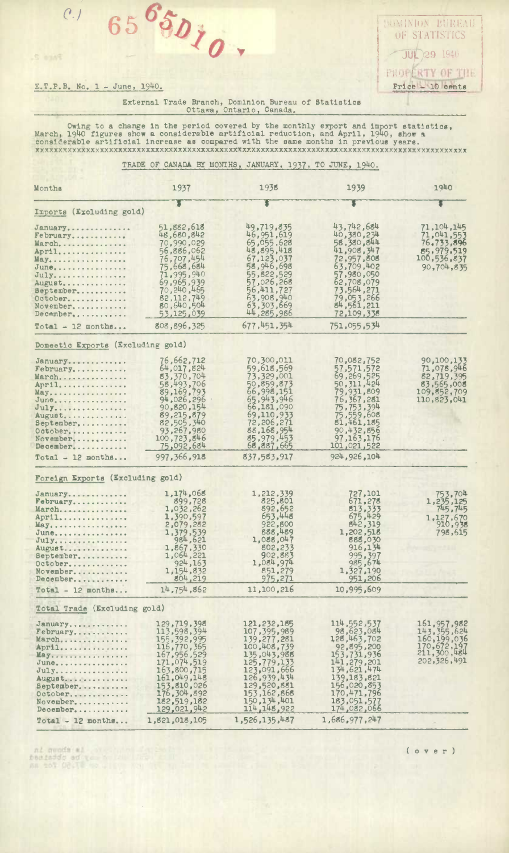$0.1656$  $65^{6}50$ <sub>io</sub>,  $65 \, \frac{\delta}{\delta}$ 

S eans

*oF S'4'ATISTICS*  **JUL 29 1940** PROPERTY OF THE E.T.P.B. No. 1 - June, 1940. **Price 4 10 cents** 

> External Trade Branch, Dominion Bureau of Statistics Ottawa, Ontario, Canada.

Owing to a change in the period covered by the monthly export and Import statistics, March, 19140 figures show a considerable artificial reduction, and April, 1940, **0110w**  considerable artificial increase as compared with the amine months in prevIous years. **xxxxxxxxxxxxxxxxxxxxxxxxxxxxxxxxxXxxxxxxxxxxxxxxxXxxxxxxxxxxxxxxxxxxxxxxxxxxxxxxxxxvxxxxxxxxxx** 

TRADE OF CANADA BY MONTHS, JANUARY, 1937, TO JUNE, 19140.

| Months                            | 1937                         | 1938                       | 1939                      | 1940                         |
|-----------------------------------|------------------------------|----------------------------|---------------------------|------------------------------|
|                                   |                              |                            |                           |                              |
| Imports (Excluding gold)          |                              |                            |                           |                              |
| January                           | 51,882,618                   | 49,719,835                 | 43,742,684                | 71,104,145                   |
| February                          | 48,680,842                   | 46,951,619                 | 40,380,234                | 71,041,553                   |
| March                             | 70,990,029                   | 65,055,628                 | 58,380,844                | 76,733,896                   |
| April                             | 56,886,062                   | 48,895,418                 | 41,908,347                | 85,979,519                   |
| May                               | 76,707,454                   | 67,123,037                 | 72,957,808                | 100,536,837                  |
| June                              | 75,668,684                   | 58,946,698                 | 63,709,402                | 90,704,835                   |
| July                              | 71,995,940                   | 55,822,529                 | 57,980,050                |                              |
| August                            | 69,965,939<br>70, 240, 465   | 57,026,268<br>56,411,727   | 62,708,079<br>73,564,271  |                              |
| September                         | 82, 112, 749                 | 63,908,940                 |                           |                              |
| October<br>November,              | 80,640,504                   | 63,303,669                 | 79,053,266<br>84,561,211  |                              |
| December                          | 53,125,039                   | 44,285,986                 | 72,109,338                |                              |
| $Total - 12 months$               | 808,896,325                  | 677, 451, 354              | 751,055,534               |                              |
| Domeetic Exports (Excluding gold) |                              |                            |                           |                              |
|                                   |                              |                            |                           |                              |
| January                           | 76,662,712                   | 70,300,011                 | 70,082,752                | 90,100,133                   |
| $February$                        | 64,017,824                   | 59,618,569                 | 57,571,572<br>69,269,525  | 71,078,946                   |
| March                             | 83,370,704<br>58,493,706     | 73,329,001<br>50,859,873   | 50, 311, 424              | 82,719,395<br>83,565,008     |
| April<br>May.                     | 89,169,793                   | 66,998,151                 | 79,931,809                | 109, 552, 709                |
| June,                             | 94,026,296                   | 65,943,946                 | 76, 367, 281              | 110, 823, 041                |
| July                              | 90,820,154                   | 66,181,090                 | 75,753,394                |                              |
| August                            | 89,215,879                   | 69,110,933                 |                           |                              |
| September                         | 82,505,340                   | 72,206,271                 | 75,559,608<br>81,461,185  |                              |
| October                           | 93,267,980                   | 88,168,954                 | 90,432,856                |                              |
| November                          | 100,723,846                  | 85,979,453                 | 97, 163, 176              |                              |
| December                          | 75,092,684                   | 68,887,665                 | 101,021,522               |                              |
| $Total - 12$ months               | 997, 366, 918                | 837,583,917                | 924, 926, 104             |                              |
| Foreign Exports (Excluding gold)  |                              |                            |                           |                              |
|                                   |                              |                            |                           |                              |
| January                           | 1,174,068<br>899,728         | 1,212,339<br>825,801       | 727,101<br>671,278        | 753.704                      |
| February<br>March                 | 1,032,262                    | 892,652                    | 813,333                   | 1,235,125                    |
| April                             | 1,390,597                    | 653,448                    | 675,429                   | 1,127,670                    |
| May                               | 2,079,282                    | 922,800                    | 842,319                   | 910,938                      |
| June                              | 1,379,539                    | 888,489                    | 1,202,518                 | 798,615                      |
| $July$                            | 984,621                      | 1,088,047                  | 888,030                   |                              |
| August                            | 1,867,330                    | 802,233                    | 916,134                   |                              |
| September                         | 1,064,221                    | 902,883                    | 995, 397<br>985, 674      |                              |
| October                           | 924, 163                     | 1,084,974                  |                           |                              |
| November                          | 1, 154, 832                  | 851,279                    | 1,327,190                 |                              |
| December<br>$Total - 12 months$   | 804,219<br>14,754,862        | 975,271<br>11,100,216      | 951,206<br>10,995,609     |                              |
| Total Trade (Excluding gold)      |                              |                            |                           |                              |
|                                   |                              |                            |                           |                              |
| January                           | 129,719,398                  | 121, 232, 185              | 114,552,537               | 161, 957, 982                |
| February                          | 113,598,394                  | 107, 395, 989              | 98,623,084                | 143, 355, 624                |
| March                             | 155, 392, 995<br>116,770,365 | 139,277,281<br>100,408,739 | 128,463,702<br>92,895,200 | 160, 199, 036<br>170,672,197 |
| April<br>May.                     | 167, 956, 529                | 135,043,988                | 153,731,936               | 211,300,484                  |
| $June_{\dots}$                    | 171,074,519                  | 125,779,133                | 141,279,201               | 202,326,491                  |
| July                              | 163,800,715                  | 123,091,666                | 134,621,474               |                              |
| August                            | 161,049,148                  | 126,939,434                | 139, 183, 821             |                              |
| September                         | 153,810,026                  | 129,520,881                | 156,020,853               |                              |
| October                           | 176,304,892                  | 153, 162, 868              | 170,471,796               |                              |
| November                          | 182,519,182                  | 150, 134, 401              | 183,051,577               |                              |
| December                          | 129,021,942                  | 114, 148, 922              | 174,082,066               |                              |
| $Total - 12 months$               | 1,821,018,105                | 1,526,135,487              | 1,686,977,247             |                              |

ni munda al<br>Desiaddo ed vez a lumino<br>An 201 Oc.T. es al compos

( o v e r )